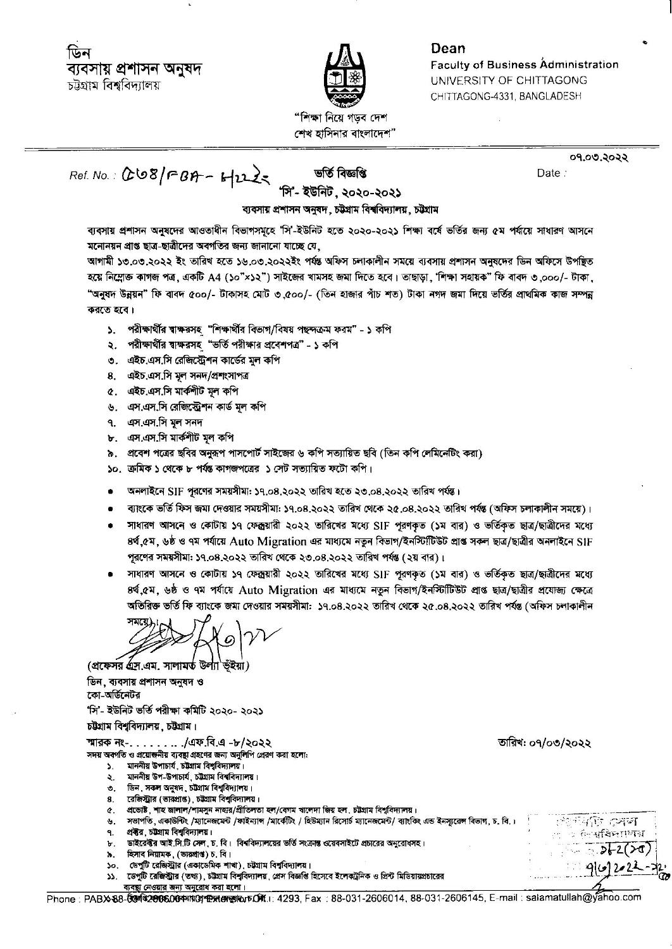

Dean **Faculty of Business Administration UNIVERSITY OF CHITTAGONG** CHITTAGONG-4331, BANGLADESH

"শিক্ষা নিয়ে গডব দেশ শেখ হাসিনার বাংলাদেশ"

Ret. No.: 008/FBA-6/225

ভৰ্তি বিজ্ঞপ্তি

09.00.2022 Date:

সি'- ইউনিট, ২০২০-২০২১

ব্যবসায় প্ৰশাসন অনুষদ, চট্টগ্ৰাম বিশ্ববিদ্যালয়, চট্টগ্ৰাম

ব্যবসায় প্রশাসন অনুষদের আওতাধীন বিভাগসমূহে 'সি'-ইউনিট হতে ২০২০-২০২১ শিক্ষা বর্ষে ভর্তির জন্য ৫ম পর্যায়ে সাধারণ আসনে মনোনয়ন প্রাপ্ত ছাত্র-ছাত্রীদের অবগতির জন্য জানানো যাচ্ছে যে,

আগামী ১৩,০৩,২০২২ ইং তারিখ হতে ১৬,০৩,২০২২ইং পর্যন্ত অফিস চলাকালীন সময়ে ব্যবসায় প্রশাসন অনুষদের ডিন অফিসে উপদ্ভিত হয়ে নিম্নোক্ত কাগজ পত্র, একটি A4 (১০"×১২") সাইজের খামসহ জমা দিতে হবে। তাছাড়া, 'শিক্ষা সহায়ক" ফি বাবদ ৩.০০০/- টাকা. "অনুষদ উন্নয়ন" ফি বাবদ ৫০০/- টাকাসহ মোট ৩.৫০০/- (তিন হাজার পাঁচ শত) টাকা নগদ জমা দিয়ে ভর্তির প্রাথমিক কাজ সম্পন্ন করতে হবে।

- ১. পরীক্ষার্থীর শ্বাক্ষরসহ "শিক্ষার্থীর বিভাগ/বিষয় পছন্দক্রম ফরম" ১ কপি
- ২. পরীক্ষার্থীর শ্বাক্ষরসহ "ভর্তি পরীক্ষার প্রবেশপত্র" ১ কপি
- ৩. এইচ.এস.সি রেজিস্ট্রেশন কার্ডের মূল কপি
- 8. এইচ.এস.সি মূল সনদ/প্ৰশংসাপত্ৰ
- ৫. এইচ.এস.সি মার্কশীট মল কপি
- ৬. এস.এস.সি রেজিস্ট্রেশন কার্ড মূল কপি
- ৭. এস.এস.সি মূল সনদ
- ৮. এস.এস.সি মার্কশীট মূল কপি
- ৯. প্রবেশ পত্রের ছবির অনরূপ পাসপোর্ট সাইজের ৬ কপি সত্যায়িত ছবি (তিন কপি লেমিনেটিং করা)
- ১০. ক্রমিক ১ থেকে ৮ পর্যন্ত কাগজপত্রের ১ সেট সত্যায়িত ফটো কপি।
- অনলাইনে SIF পুরণের সময়সীমা: ১৭.০৪.২০২২ তারিখ হতে ২৩.০৪.২০২২ তারিখ পর্যন্ত।
- ব্যাংকে ভর্তি ফিস জমা দেওয়ার সময়সীমা: ১৭.০৪.২০২২ তারিখ থেকে ২৫.০৪.২০২২ তারিখ পর্যন্ত (অফিস চলাকালীন সময়ে)।
- সাধারণ আসনে ও কোটায় ১৭ ফেক্সয়ারী ২০২২ তারিখের মধ্যে SIF পূরণকৃত (১ম বার) ও ভর্তিকৃত ছাত্র/ছাত্রীদের মধ্যে ৪র্থ ৫ম, ৬ষ্ঠ ও ৭ম পর্যায়ে Auto Migration এর মাধ্যমে নতুন বিভাগ/ইনস্টিটিউট প্রাপ্ত সকল ছাত্র/ছাত্রীর অনলাইনে SIF পূরণের সময়সীমা: ১৭.০৪.২০২২ তারিখ থেকে ২৩.০৪.২০২২ তারিখ পর্যন্ত (২য় বার)।
- সাধারণ আসনে ও কোটায় ১৭ ফেক্সয়ারী ২০২২ তারিখের মধ্যে SIF পুরণকৃত (১ম বার) ও ভর্তিকৃত ছাত্র/ছাত্রীদের মধ্যে ৪র্থ ৫ম, ৬ষ্ঠ ও ৭ম পর্যায়ে Auto Migration এর মাধ্যমে নতুন বিভাগ/ইনস্টিটিউট প্রাপ্ত ছাত্র/ছাত্রীর প্রযোজ্য ক্ষেত্রে অতিরিক্ত ভর্তি ফি ব্যাংকে জমা দেওয়ার সময়সীমা: ১৭.০৪.২০২২ তারিখ থেকে ২৫.০৪.২০২২ তারিখ পর্যন্ত (অফিস চলাকালীন

(প্রফেসর এস.এম. সালামর্ত উল্যা ভঁইয়া)

ডিন, ব্যবসায় প্রশাসন অনুষদ ও কো-অর্ডিনেটর

'সি'- ইউনিট ভৰ্তি পরীক্ষা কমিটি ২০২০- ২০২১

চট্টগ্রাম বিশবিদ্যালয়, চট্টগ্রাম।

স্মারক নং- $\ldots \ldots$ াএফ বি.এ -৮/২০২২

সদয় অবগতি ও প্রয়োজনীয় ব্যবস্থা গ্রহণের জন্য অনুলিপি প্রেরণ করা হলো:

- মাননীয় উপাচার্য, চট্টগ্রাম বিশ্ববিদ্যালয়।  $\mathbf{S}$
- মাননীয় উপ-উপাচার্য, চট্টগ্রাম বিশ্ববিদ্যালয়।  $\lambda$ .
- ৩. ডিন, সকল অনুষদ, চট্টগ্রাম বিশ্ববিদ্যালয়।
- রেজিস্টার (ভারপ্রাপ্ত) চট্টগ্রাম বিশবিদ্যালয়।  $\mathbf{g}$
- প্রভোষ্ট, শাহ জালাল/শামসুন নাহার/প্রীতিলতা হল/বেগম খালেদা জিয় হল, চট্টগ্রাম বিশুবিদ্যালয়।  $\alpha$
- সভাপতি, একাউন্টিং /ম্যানেজমেন্ট /ফাইন্যাল /মার্কেটিং / হিউম্যান রিসোর্চ ম্যানেজমেন্ট/ ব্যাংকিং এন্ড ইনস্যুরেন্স বিভাগ, চ. বি.।  $\mathbf{u}$ ۹. প্রবীর, চটগ্রাম বিশ্ববিদ্যালয়।
- ডাইরেক্টর আই সি.টি সেল, চ. বি। বিশ্ববিদ্যালয়ের ভর্তি সংক্রান্ত ওয়েবসাইটে প্রচারের অনুরোধসহ।  $\mathbf{b}$ .
- হিসাব নিয়ামক, (ভারপ্রাপ্ত) চ. বি।  $\lambda$ . ১০. ডেপুটি রেজিস্ট্রার (একাডেমিক শাখা), চট্টগ্রাম বিশ্ববিদ্যালয়।
- ১১. ডেপুটি রেজিস্ট্রীর (তথ্য), চট্টগ্রাম বিশ্ববিদ্যালয়, প্রেস বিজ্ঞপ্তি হিসেবে ইলেকট্রনিক ও প্রিন্ট মিডিয়ায়প্রচারের ব্যবস্থা নেওয়ার জন্য অনুরোধ করা হলো।

তারিখ: ০৭/০৩/২০২২

<sup>ইন্দ</sup>াজি সেন

নিস্কাৰিদ্যালয়

 $-2200$ 

Phone: PABX 88-004432006000441404125604500601: 4293. Fax: 88-031-2606014, 88-031-2606145, E-mail: salamatullah@yahoo.com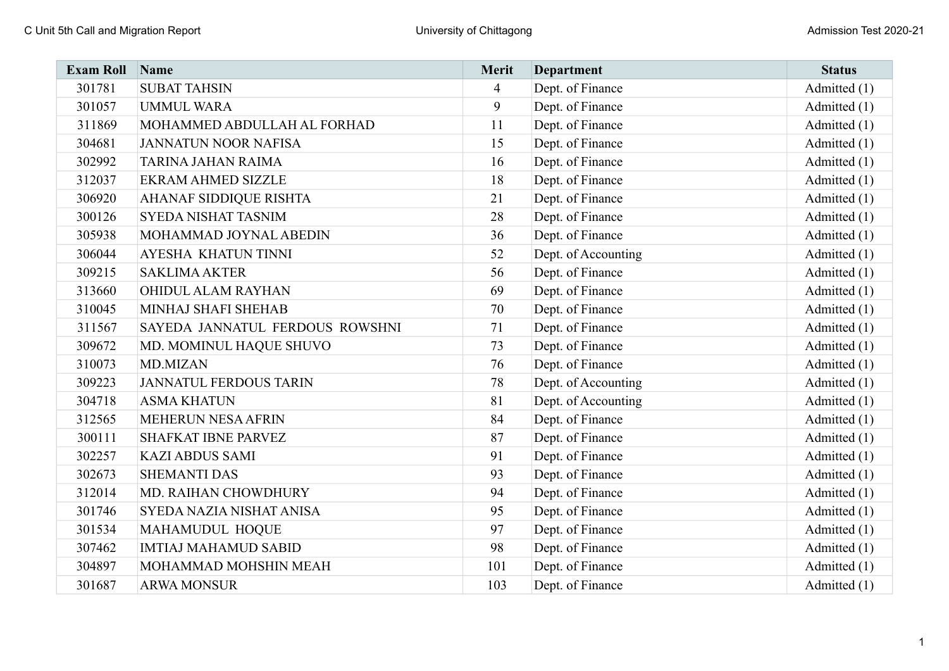| <b>Exam Roll</b> | Name                            | Merit          | <b>Department</b>   | <b>Status</b> |
|------------------|---------------------------------|----------------|---------------------|---------------|
| 301781           | <b>SUBAT TAHSIN</b>             | $\overline{4}$ | Dept. of Finance    | Admitted (1)  |
| 301057           | <b>UMMUL WARA</b>               | 9              | Dept. of Finance    | Admitted (1)  |
| 311869           | MOHAMMED ABDULLAH AL FORHAD     | 11             | Dept. of Finance    | Admitted (1)  |
| 304681           | <b>JANNATUN NOOR NAFISA</b>     | 15             | Dept. of Finance    | Admitted (1)  |
| 302992           | <b>TARINA JAHAN RAIMA</b>       | 16             | Dept. of Finance    | Admitted (1)  |
| 312037           | <b>EKRAM AHMED SIZZLE</b>       | 18             | Dept. of Finance    | Admitted (1)  |
| 306920           | AHANAF SIDDIQUE RISHTA          | 21             | Dept. of Finance    | Admitted (1)  |
| 300126           | <b>SYEDA NISHAT TASNIM</b>      | 28             | Dept. of Finance    | Admitted (1)  |
| 305938           | MOHAMMAD JOYNAL ABEDIN          | 36             | Dept. of Finance    | Admitted (1)  |
| 306044           | AYESHA KHATUN TINNI             | 52             | Dept. of Accounting | Admitted (1)  |
| 309215           | <b>SAKLIMA AKTER</b>            | 56             | Dept. of Finance    | Admitted (1)  |
| 313660           | OHIDUL ALAM RAYHAN              | 69             | Dept. of Finance    | Admitted (1)  |
| 310045           | MINHAJ SHAFI SHEHAB             | 70             | Dept. of Finance    | Admitted (1)  |
| 311567           | SAYEDA JANNATUL FERDOUS ROWSHNI | 71             | Dept. of Finance    | Admitted (1)  |
| 309672           | MD. MOMINUL HAQUE SHUVO         | 73             | Dept. of Finance    | Admitted (1)  |
| 310073           | <b>MD.MIZAN</b>                 | 76             | Dept. of Finance    | Admitted (1)  |
| 309223           | <b>JANNATUL FERDOUS TARIN</b>   | 78             | Dept. of Accounting | Admitted (1)  |
| 304718           | <b>ASMA KHATUN</b>              | 81             | Dept. of Accounting | Admitted (1)  |
| 312565           | MEHERUN NESA AFRIN              | 84             | Dept. of Finance    | Admitted (1)  |
| 300111           | <b>SHAFKAT IBNE PARVEZ</b>      | 87             | Dept. of Finance    | Admitted (1)  |
| 302257           | <b>KAZI ABDUS SAMI</b>          | 91             | Dept. of Finance    | Admitted (1)  |
| 302673           | <b>SHEMANTI DAS</b>             | 93             | Dept. of Finance    | Admitted (1)  |
| 312014           | MD. RAIHAN CHOWDHURY            | 94             | Dept. of Finance    | Admitted (1)  |
| 301746           | SYEDA NAZIA NISHAT ANISA        | 95             | Dept. of Finance    | Admitted (1)  |
| 301534           | MAHAMUDUL HOQUE                 | 97             | Dept. of Finance    | Admitted (1)  |
| 307462           | <b>IMTIAJ MAHAMUD SABID</b>     | 98             | Dept. of Finance    | Admitted (1)  |
| 304897           | MOHAMMAD MOHSHIN MEAH           | 101            | Dept. of Finance    | Admitted (1)  |
| 301687           | <b>ARWA MONSUR</b>              | 103            | Dept. of Finance    | Admitted (1)  |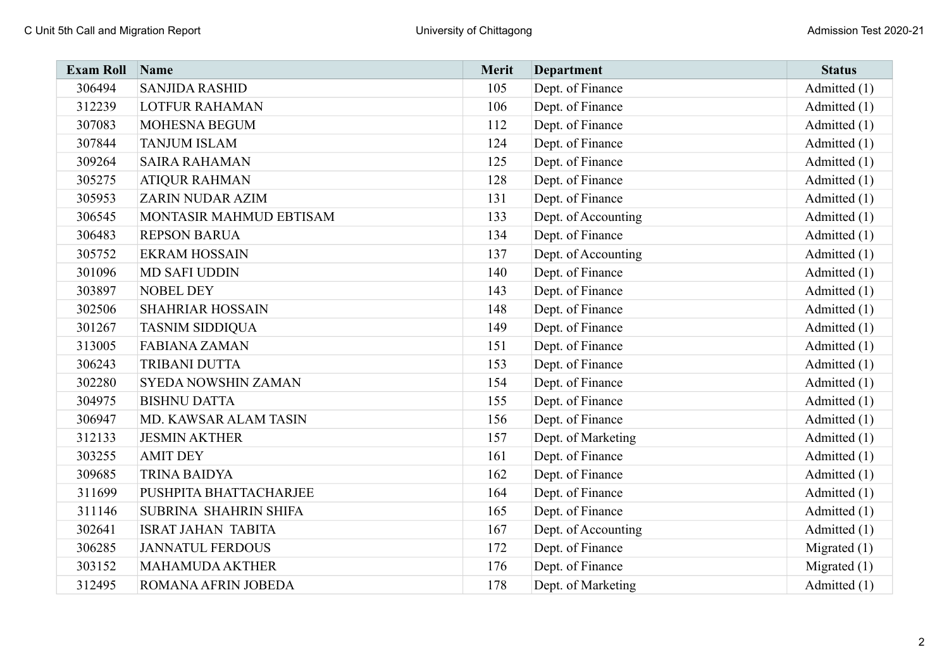| <b>Exam Roll</b> | Name                       | Merit | <b>Department</b>   | <b>Status</b>  |
|------------------|----------------------------|-------|---------------------|----------------|
| 306494           | <b>SANJIDA RASHID</b>      | 105   | Dept. of Finance    | Admitted (1)   |
| 312239           | <b>LOTFUR RAHAMAN</b>      | 106   | Dept. of Finance    | Admitted (1)   |
| 307083           | MOHESNA BEGUM              | 112   | Dept. of Finance    | Admitted (1)   |
| 307844           | <b>TANJUM ISLAM</b>        | 124   | Dept. of Finance    | Admitted (1)   |
| 309264           | <b>SAIRA RAHAMAN</b>       | 125   | Dept. of Finance    | Admitted (1)   |
| 305275           | <b>ATIQUR RAHMAN</b>       | 128   | Dept. of Finance    | Admitted (1)   |
| 305953           | <b>ZARIN NUDAR AZIM</b>    | 131   | Dept. of Finance    | Admitted (1)   |
| 306545           | MONTASIR MAHMUD EBTISAM    | 133   | Dept. of Accounting | Admitted (1)   |
| 306483           | <b>REPSON BARUA</b>        | 134   | Dept. of Finance    | Admitted (1)   |
| 305752           | <b>EKRAM HOSSAIN</b>       | 137   | Dept. of Accounting | Admitted (1)   |
| 301096           | <b>MD SAFI UDDIN</b>       | 140   | Dept. of Finance    | Admitted (1)   |
| 303897           | <b>NOBEL DEY</b>           | 143   | Dept. of Finance    | Admitted (1)   |
| 302506           | <b>SHAHRIAR HOSSAIN</b>    | 148   | Dept. of Finance    | Admitted (1)   |
| 301267           | <b>TASNIM SIDDIQUA</b>     | 149   | Dept. of Finance    | Admitted (1)   |
| 313005           | <b>FABIANA ZAMAN</b>       | 151   | Dept. of Finance    | Admitted (1)   |
| 306243           | TRIBANI DUTTA              | 153   | Dept. of Finance    | Admitted (1)   |
| 302280           | <b>SYEDA NOWSHIN ZAMAN</b> | 154   | Dept. of Finance    | Admitted (1)   |
| 304975           | <b>BISHNU DATTA</b>        | 155   | Dept. of Finance    | Admitted (1)   |
| 306947           | MD. KAWSAR ALAM TASIN      | 156   | Dept. of Finance    | Admitted (1)   |
| 312133           | <b>JESMIN AKTHER</b>       | 157   | Dept. of Marketing  | Admitted (1)   |
| 303255           | <b>AMIT DEY</b>            | 161   | Dept. of Finance    | Admitted (1)   |
| 309685           | <b>TRINA BAIDYA</b>        | 162   | Dept. of Finance    | Admitted (1)   |
| 311699           | PUSHPITA BHATTACHARJEE     | 164   | Dept. of Finance    | Admitted (1)   |
| 311146           | SUBRINA SHAHRIN SHIFA      | 165   | Dept. of Finance    | Admitted (1)   |
| 302641           | <b>ISRAT JAHAN TABITA</b>  | 167   | Dept. of Accounting | Admitted (1)   |
| 306285           | <b>JANNATUL FERDOUS</b>    | 172   | Dept. of Finance    | Migrated $(1)$ |
| 303152           | <b>MAHAMUDA AKTHER</b>     | 176   | Dept. of Finance    | Migrated $(1)$ |
| 312495           | ROMANA AFRIN JOBEDA        | 178   | Dept. of Marketing  | Admitted (1)   |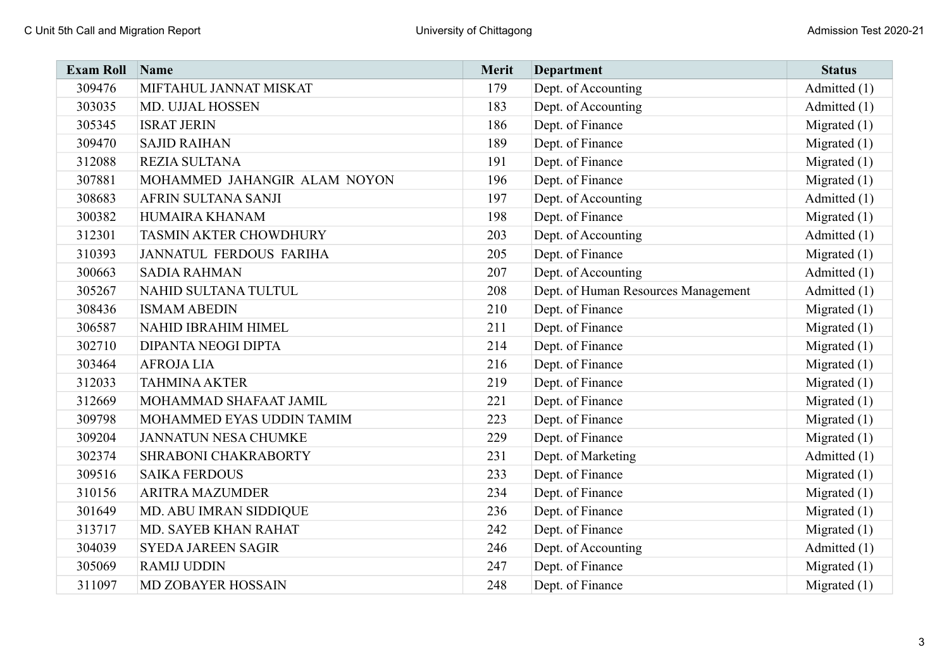| <b>Exam Roll</b> | Name                           | Merit | <b>Department</b>                   | <b>Status</b>  |
|------------------|--------------------------------|-------|-------------------------------------|----------------|
| 309476           | MIFTAHUL JANNAT MISKAT         | 179   | Dept. of Accounting                 | Admitted (1)   |
| 303035           | MD. UJJAL HOSSEN               | 183   | Dept. of Accounting                 | Admitted (1)   |
| 305345           | <b>ISRAT JERIN</b>             | 186   | Dept. of Finance                    | Migrated $(1)$ |
| 309470           | <b>SAJID RAIHAN</b>            | 189   | Dept. of Finance                    | Migrated $(1)$ |
| 312088           | REZIA SULTANA                  | 191   | Dept. of Finance                    | Migrated $(1)$ |
| 307881           | MOHAMMED JAHANGIR ALAM NOYON   | 196   | Dept. of Finance                    | Migrated $(1)$ |
| 308683           | AFRIN SULTANA SANJI            | 197   | Dept. of Accounting                 | Admitted (1)   |
| 300382           | HUMAIRA KHANAM                 | 198   | Dept. of Finance                    | Migrated $(1)$ |
| 312301           | TASMIN AKTER CHOWDHURY         | 203   | Dept. of Accounting                 | Admitted (1)   |
| 310393           | <b>JANNATUL FERDOUS FARIHA</b> | 205   | Dept. of Finance                    | Migrated $(1)$ |
| 300663           | <b>SADIA RAHMAN</b>            | 207   | Dept. of Accounting                 | Admitted (1)   |
| 305267           | NAHID SULTANA TULTUL           | 208   | Dept. of Human Resources Management | Admitted (1)   |
| 308436           | <b>ISMAM ABEDIN</b>            | 210   | Dept. of Finance                    | Migrated $(1)$ |
| 306587           | NAHID IBRAHIM HIMEL            | 211   | Dept. of Finance                    | Migrated $(1)$ |
| 302710           | <b>DIPANTA NEOGI DIPTA</b>     | 214   | Dept. of Finance                    | Migrated $(1)$ |
| 303464           | <b>AFROJALIA</b>               | 216   | Dept. of Finance                    | Migrated $(1)$ |
| 312033           | <b>TAHMINA AKTER</b>           | 219   | Dept. of Finance                    | Migrated $(1)$ |
| 312669           | MOHAMMAD SHAFAAT JAMIL         | 221   | Dept. of Finance                    | Migrated $(1)$ |
| 309798           | MOHAMMED EYAS UDDIN TAMIM      | 223   | Dept. of Finance                    | Migrated $(1)$ |
| 309204           | <b>JANNATUN NESA CHUMKE</b>    | 229   | Dept. of Finance                    | Migrated $(1)$ |
| 302374           | SHRABONI CHAKRABORTY           | 231   | Dept. of Marketing                  | Admitted (1)   |
| 309516           | <b>SAIKA FERDOUS</b>           | 233   | Dept. of Finance                    | Migrated $(1)$ |
| 310156           | <b>ARITRA MAZUMDER</b>         | 234   | Dept. of Finance                    | Migrated $(1)$ |
| 301649           | MD. ABU IMRAN SIDDIQUE         | 236   | Dept. of Finance                    | Migrated $(1)$ |
| 313717           | MD. SAYEB KHAN RAHAT           | 242   | Dept. of Finance                    | Migrated $(1)$ |
| 304039           | <b>SYEDA JAREEN SAGIR</b>      | 246   | Dept. of Accounting                 | Admitted (1)   |
| 305069           | <b>RAMIJ UDDIN</b>             | 247   | Dept. of Finance                    | Migrated $(1)$ |
| 311097           | MD ZOBAYER HOSSAIN             | 248   | Dept. of Finance                    | Migrated $(1)$ |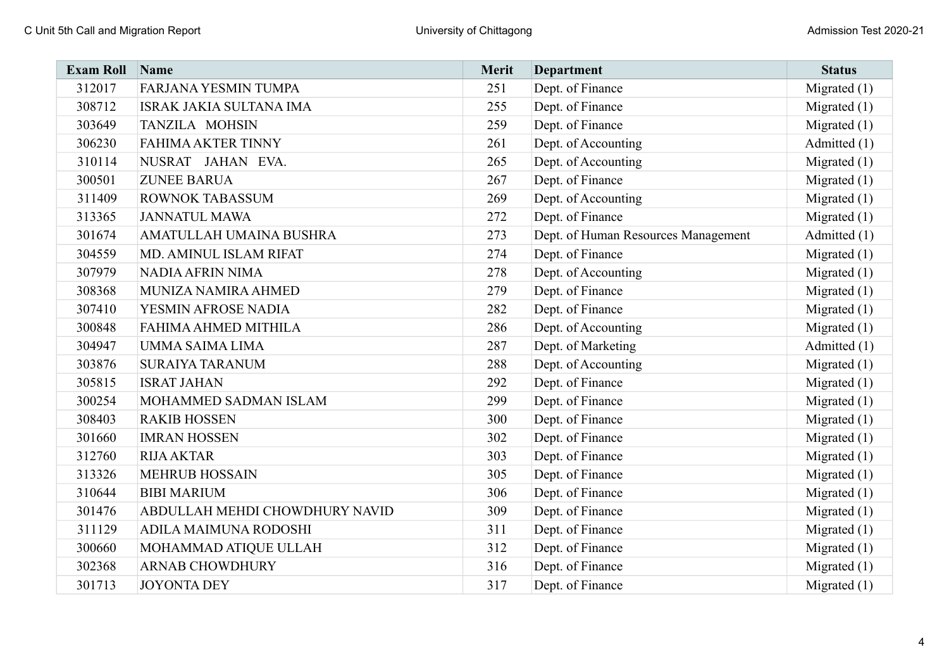| <b>Exam Roll</b> | Name                           | Merit | Department                          | <b>Status</b>  |
|------------------|--------------------------------|-------|-------------------------------------|----------------|
| 312017           | FARJANA YESMIN TUMPA           | 251   | Dept. of Finance                    | Migrated $(1)$ |
| 308712           | <b>ISRAK JAKIA SULTANA IMA</b> | 255   | Dept. of Finance                    | Migrated $(1)$ |
| 303649           | TANZILA MOHSIN                 | 259   | Dept. of Finance                    | Migrated $(1)$ |
| 306230           | <b>FAHIMA AKTER TINNY</b>      | 261   | Dept. of Accounting                 | Admitted (1)   |
| 310114           | NUSRAT JAHAN EVA.              | 265   | Dept. of Accounting                 | Migrated $(1)$ |
| 300501           | <b>ZUNEE BARUA</b>             | 267   | Dept. of Finance                    | Migrated $(1)$ |
| 311409           | <b>ROWNOK TABASSUM</b>         | 269   | Dept. of Accounting                 | Migrated $(1)$ |
| 313365           | <b>JANNATUL MAWA</b>           | 272   | Dept. of Finance                    | Migrated $(1)$ |
| 301674           | AMATULLAH UMAINA BUSHRA        | 273   | Dept. of Human Resources Management | Admitted (1)   |
| 304559           | MD. AMINUL ISLAM RIFAT         | 274   | Dept. of Finance                    | Migrated $(1)$ |
| 307979           | NADIA AFRIN NIMA               | 278   | Dept. of Accounting                 | Migrated $(1)$ |
| 308368           | MUNIZA NAMIRA AHMED            | 279   | Dept. of Finance                    | Migrated $(1)$ |
| 307410           | YESMIN AFROSE NADIA            | 282   | Dept. of Finance                    | Migrated $(1)$ |
| 300848           | FAHIMA AHMED MITHILA           | 286   | Dept. of Accounting                 | Migrated $(1)$ |
| 304947           | UMMA SAIMA LIMA                | 287   | Dept. of Marketing                  | Admitted (1)   |
| 303876           | <b>SURAIYA TARANUM</b>         | 288   | Dept. of Accounting                 | Migrated $(1)$ |
| 305815           | <b>ISRAT JAHAN</b>             | 292   | Dept. of Finance                    | Migrated $(1)$ |
| 300254           | MOHAMMED SADMAN ISLAM          | 299   | Dept. of Finance                    | Migrated (1)   |
| 308403           | <b>RAKIB HOSSEN</b>            | 300   | Dept. of Finance                    | Migrated $(1)$ |
| 301660           | <b>IMRAN HOSSEN</b>            | 302   | Dept. of Finance                    | Migrated $(1)$ |
| 312760           | <b>RIJA AKTAR</b>              | 303   | Dept. of Finance                    | Migrated $(1)$ |
| 313326           | <b>MEHRUB HOSSAIN</b>          | 305   | Dept. of Finance                    | Migrated (1)   |
| 310644           | <b>BIBI MARIUM</b>             | 306   | Dept. of Finance                    | Migrated $(1)$ |
| 301476           | ABDULLAH MEHDI CHOWDHURY NAVID | 309   | Dept. of Finance                    | Migrated $(1)$ |
| 311129           | ADILA MAIMUNA RODOSHI          | 311   | Dept. of Finance                    | Migrated $(1)$ |
| 300660           | MOHAMMAD ATIQUE ULLAH          | 312   | Dept. of Finance                    | Migrated $(1)$ |
| 302368           | <b>ARNAB CHOWDHURY</b>         | 316   | Dept. of Finance                    | Migrated $(1)$ |
| 301713           | <b>JOYONTA DEY</b>             | 317   | Dept. of Finance                    | Migrated $(1)$ |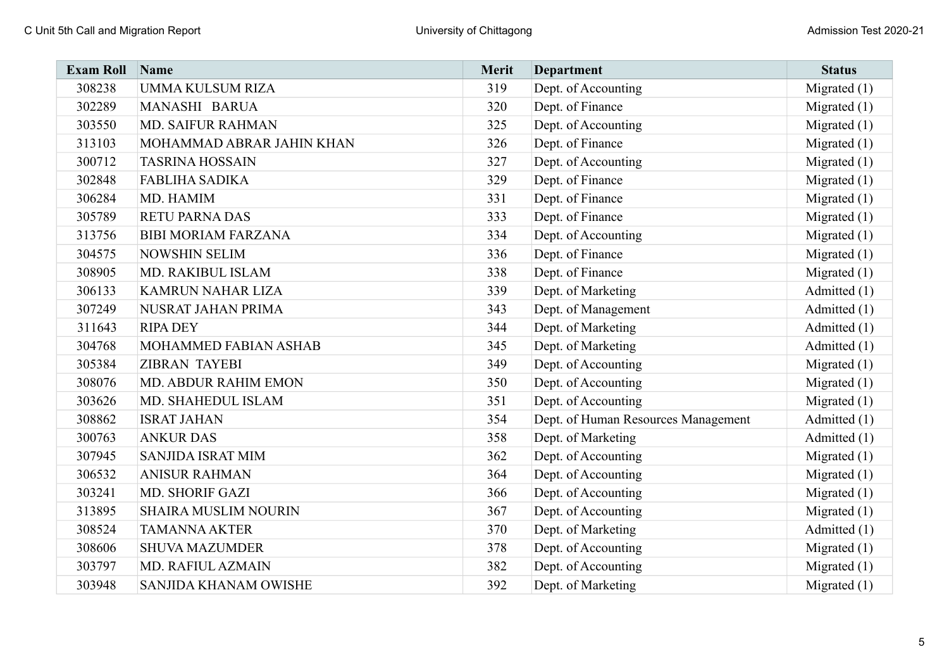| <b>Exam Roll</b> | Name                       | Merit | <b>Department</b>                   | <b>Status</b>  |
|------------------|----------------------------|-------|-------------------------------------|----------------|
| 308238           | UMMA KULSUM RIZA           | 319   | Dept. of Accounting                 | Migrated $(1)$ |
| 302289           | MANASHI BARUA              | 320   | Dept. of Finance                    | Migrated $(1)$ |
| 303550           | <b>MD. SAIFUR RAHMAN</b>   | 325   | Dept. of Accounting                 | Migrated $(1)$ |
| 313103           | MOHAMMAD ABRAR JAHIN KHAN  | 326   | Dept. of Finance                    | Migrated (1)   |
| 300712           | <b>TASRINA HOSSAIN</b>     | 327   | Dept. of Accounting                 | Migrated $(1)$ |
| 302848           | <b>FABLIHA SADIKA</b>      | 329   | Dept. of Finance                    | Migrated $(1)$ |
| 306284           | MD. HAMIM                  | 331   | Dept. of Finance                    | Migrated $(1)$ |
| 305789           | <b>RETU PARNA DAS</b>      | 333   | Dept. of Finance                    | Migrated (1)   |
| 313756           | <b>BIBI MORIAM FARZANA</b> | 334   | Dept. of Accounting                 | Migrated $(1)$ |
| 304575           | <b>NOWSHIN SELIM</b>       | 336   | Dept. of Finance                    | Migrated $(1)$ |
| 308905           | MD. RAKIBUL ISLAM          | 338   | Dept. of Finance                    | Migrated $(1)$ |
| 306133           | KAMRUN NAHAR LIZA          | 339   | Dept. of Marketing                  | Admitted (1)   |
| 307249           | NUSRAT JAHAN PRIMA         | 343   | Dept. of Management                 | Admitted (1)   |
| 311643           | <b>RIPA DEY</b>            | 344   | Dept. of Marketing                  | Admitted (1)   |
| 304768           | MOHAMMED FABIAN ASHAB      | 345   | Dept. of Marketing                  | Admitted (1)   |
| 305384           | <b>ZIBRAN TAYEBI</b>       | 349   | Dept. of Accounting                 | Migrated $(1)$ |
| 308076           | MD. ABDUR RAHIM EMON       | 350   | Dept. of Accounting                 | Migrated $(1)$ |
| 303626           | MD. SHAHEDUL ISLAM         | 351   | Dept. of Accounting                 | Migrated $(1)$ |
| 308862           | <b>ISRAT JAHAN</b>         | 354   | Dept. of Human Resources Management | Admitted (1)   |
| 300763           | <b>ANKUR DAS</b>           | 358   | Dept. of Marketing                  | Admitted (1)   |
| 307945           | <b>SANJIDA ISRAT MIM</b>   | 362   | Dept. of Accounting                 | Migrated $(1)$ |
| 306532           | <b>ANISUR RAHMAN</b>       | 364   | Dept. of Accounting                 | Migrated (1)   |
| 303241           | MD. SHORIF GAZI            | 366   | Dept. of Accounting                 | Migrated $(1)$ |
| 313895           | SHAIRA MUSLIM NOURIN       | 367   | Dept. of Accounting                 | Migrated $(1)$ |
| 308524           | <b>TAMANNA AKTER</b>       | 370   | Dept. of Marketing                  | Admitted (1)   |
| 308606           | <b>SHUVA MAZUMDER</b>      | 378   | Dept. of Accounting                 | Migrated $(1)$ |
| 303797           | MD. RAFIUL AZMAIN          | 382   | Dept. of Accounting                 | Migrated $(1)$ |
| 303948           | SANJIDA KHANAM OWISHE      | 392   | Dept. of Marketing                  | Migrated $(1)$ |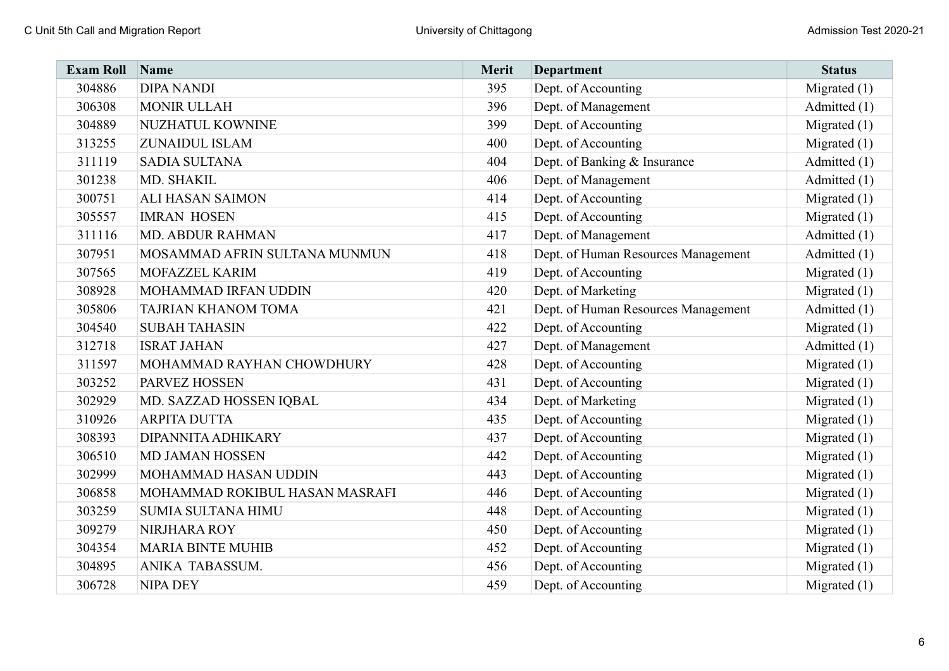| <b>Exam Roll</b> | Name                           | Merit | Department                          | <b>Status</b>  |
|------------------|--------------------------------|-------|-------------------------------------|----------------|
| 304886           | <b>DIPA NANDI</b>              | 395   | Dept. of Accounting                 | Migrated $(1)$ |
| 306308           | <b>MONIR ULLAH</b>             | 396   | Dept. of Management                 | Admitted (1)   |
| 304889           | NUZHATUL KOWNINE               | 399   | Dept. of Accounting                 | Migrated $(1)$ |
| 313255           | ZUNAIDUL ISLAM                 | 400   | Dept. of Accounting                 | Migrated $(1)$ |
| 311119           | <b>SADIA SULTANA</b>           | 404   | Dept. of Banking & Insurance        | Admitted (1)   |
| 301238           | MD. SHAKIL                     | 406   | Dept. of Management                 | Admitted (1)   |
| 300751           | <b>ALI HASAN SAIMON</b>        | 414   | Dept. of Accounting                 | Migrated $(1)$ |
| 305557           | <b>IMRAN HOSEN</b>             | 415   | Dept. of Accounting                 | Migrated $(1)$ |
| 311116           | <b>MD. ABDUR RAHMAN</b>        | 417   | Dept. of Management                 | Admitted (1)   |
| 307951           | MOSAMMAD AFRIN SULTANA MUNMUN  | 418   | Dept. of Human Resources Management | Admitted (1)   |
| 307565           | MOFAZZEL KARIM                 | 419   | Dept. of Accounting                 | Migrated $(1)$ |
| 308928           | MOHAMMAD IRFAN UDDIN           | 420   | Dept. of Marketing                  | Migrated $(1)$ |
| 305806           | TAJRIAN KHANOM TOMA            | 421   | Dept. of Human Resources Management | Admitted (1)   |
| 304540           | <b>SUBAH TAHASIN</b>           | 422   | Dept. of Accounting                 | Migrated $(1)$ |
| 312718           | <b>ISRAT JAHAN</b>             | 427   | Dept. of Management                 | Admitted (1)   |
| 311597           | MOHAMMAD RAYHAN CHOWDHURY      | 428   | Dept. of Accounting                 | Migrated $(1)$ |
| 303252           | PARVEZ HOSSEN                  | 431   | Dept. of Accounting                 | Migrated $(1)$ |
| 302929           | MD. SAZZAD HOSSEN IQBAL        | 434   | Dept. of Marketing                  | Migrated $(1)$ |
| 310926           | <b>ARPITA DUTTA</b>            | 435   | Dept. of Accounting                 | Migrated $(1)$ |
| 308393           | DIPANNITA ADHIKARY             | 437   | Dept. of Accounting                 | Migrated $(1)$ |
| 306510           | <b>MD JAMAN HOSSEN</b>         | 442   | Dept. of Accounting                 | Migrated $(1)$ |
| 302999           | MOHAMMAD HASAN UDDIN           | 443   | Dept. of Accounting                 | Migrated (1)   |
| 306858           | MOHAMMAD ROKIBUL HASAN MASRAFI | 446   | Dept. of Accounting                 | Migrated $(1)$ |
| 303259           | <b>SUMIA SULTANA HIMU</b>      | 448   | Dept. of Accounting                 | Migrated $(1)$ |
| 309279           | NIRJHARA ROY                   | 450   | Dept. of Accounting                 | Migrated $(1)$ |
| 304354           | <b>MARIA BINTE MUHIB</b>       | 452   | Dept. of Accounting                 | Migrated $(1)$ |
| 304895           | ANIKA TABASSUM.                | 456   | Dept. of Accounting                 | Migrated $(1)$ |
| 306728           | <b>NIPA DEY</b>                | 459   | Dept. of Accounting                 | Migrated $(1)$ |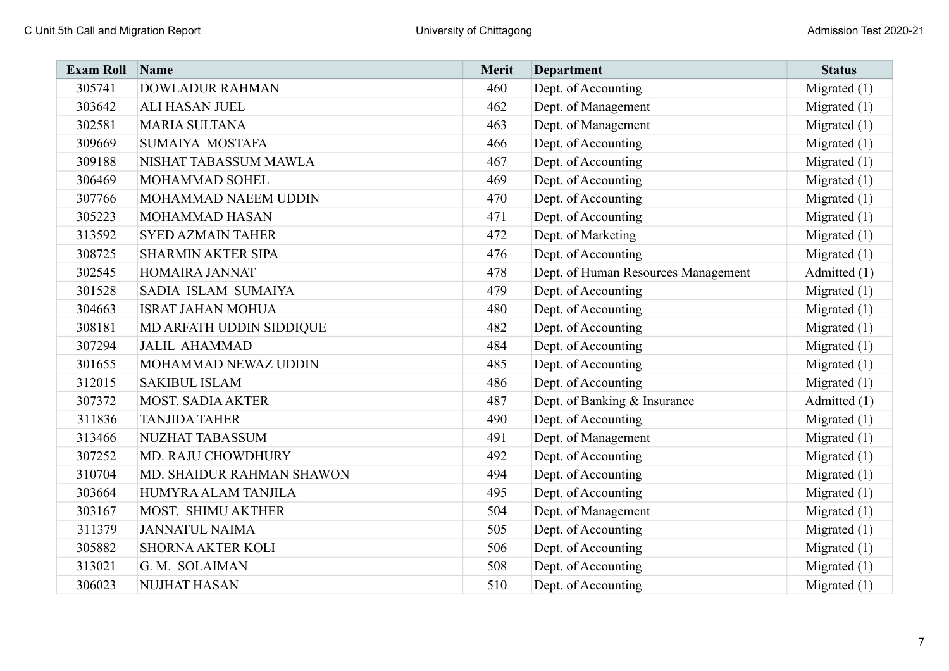| <b>Exam Roll</b> | Name                      | Merit | <b>Department</b>                   | <b>Status</b>  |
|------------------|---------------------------|-------|-------------------------------------|----------------|
| 305741           | <b>DOWLADUR RAHMAN</b>    | 460   | Dept. of Accounting                 | Migrated $(1)$ |
| 303642           | ALI HASAN JUEL            | 462   | Dept. of Management                 | Migrated $(1)$ |
| 302581           | <b>MARIA SULTANA</b>      | 463   | Dept. of Management                 | Migrated (1)   |
| 309669           | SUMAIYA MOSTAFA           | 466   | Dept. of Accounting                 | Migrated (1)   |
| 309188           | NISHAT TABASSUM MAWLA     | 467   | Dept. of Accounting                 | Migrated $(1)$ |
| 306469           | MOHAMMAD SOHEL            | 469   | Dept. of Accounting                 | Migrated $(1)$ |
| 307766           | MOHAMMAD NAEEM UDDIN      | 470   | Dept. of Accounting                 | Migrated $(1)$ |
| 305223           | <b>MOHAMMAD HASAN</b>     | 471   | Dept. of Accounting                 | Migrated $(1)$ |
| 313592           | <b>SYED AZMAIN TAHER</b>  | 472   | Dept. of Marketing                  | Migrated $(1)$ |
| 308725           | <b>SHARMIN AKTER SIPA</b> | 476   | Dept. of Accounting                 | Migrated $(1)$ |
| 302545           | HOMAIRA JANNAT            | 478   | Dept. of Human Resources Management | Admitted (1)   |
| 301528           | SADIA ISLAM SUMAIYA       | 479   | Dept. of Accounting                 | Migrated $(1)$ |
| 304663           | <b>ISRAT JAHAN MOHUA</b>  | 480   | Dept. of Accounting                 | Migrated $(1)$ |
| 308181           | MD ARFATH UDDIN SIDDIQUE  | 482   | Dept. of Accounting                 | Migrated $(1)$ |
| 307294           | <b>JALIL AHAMMAD</b>      | 484   | Dept. of Accounting                 | Migrated $(1)$ |
| 301655           | MOHAMMAD NEWAZ UDDIN      | 485   | Dept. of Accounting                 | Migrated $(1)$ |
| 312015           | <b>SAKIBUL ISLAM</b>      | 486   | Dept. of Accounting                 | Migrated (1)   |
| 307372           | <b>MOST. SADIA AKTER</b>  | 487   | Dept. of Banking & Insurance        | Admitted (1)   |
| 311836           | <b>TANJIDA TAHER</b>      | 490   | Dept. of Accounting                 | Migrated $(1)$ |
| 313466           | <b>NUZHAT TABASSUM</b>    | 491   | Dept. of Management                 | Migrated $(1)$ |
| 307252           | MD. RAJU CHOWDHURY        | 492   | Dept. of Accounting                 | Migrated $(1)$ |
| 310704           | MD. SHAIDUR RAHMAN SHAWON | 494   | Dept. of Accounting                 | Migrated $(1)$ |
| 303664           | HUMYRA ALAM TANJILA       | 495   | Dept. of Accounting                 | Migrated $(1)$ |
| 303167           | MOST. SHIMU AKTHER        | 504   | Dept. of Management                 | Migrated $(1)$ |
| 311379           | <b>JANNATUL NAIMA</b>     | 505   | Dept. of Accounting                 | Migrated $(1)$ |
| 305882           | <b>SHORNA AKTER KOLI</b>  | 506   | Dept. of Accounting                 | Migrated $(1)$ |
| 313021           | G. M. SOLAIMAN            | 508   | Dept. of Accounting                 | Migrated $(1)$ |
| 306023           | <b>NUJHAT HASAN</b>       | 510   | Dept. of Accounting                 | Migrated $(1)$ |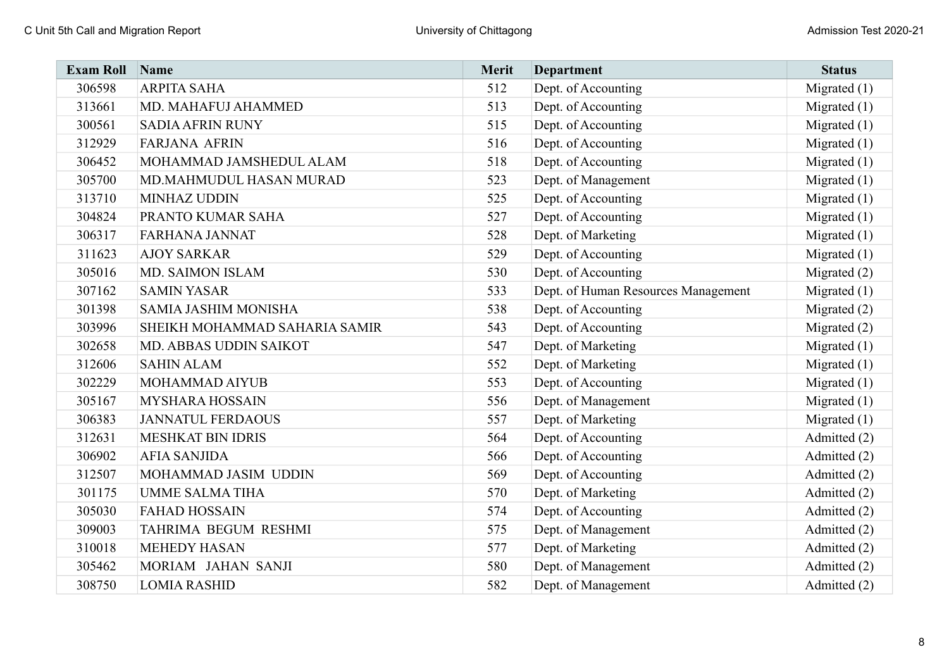| <b>Exam Roll</b> | Name                          | Merit | <b>Department</b>                   | <b>Status</b>  |
|------------------|-------------------------------|-------|-------------------------------------|----------------|
| 306598           | <b>ARPITA SAHA</b>            | 512   | Dept. of Accounting                 | Migrated $(1)$ |
| 313661           | MD. MAHAFUJ AHAMMED           | 513   | Dept. of Accounting                 | Migrated $(1)$ |
| 300561           | <b>SADIA AFRIN RUNY</b>       | 515   | Dept. of Accounting                 | Migrated $(1)$ |
| 312929           | <b>FARJANA AFRIN</b>          | 516   | Dept. of Accounting                 | Migrated $(1)$ |
| 306452           | MOHAMMAD JAMSHEDUL ALAM       | 518   | Dept. of Accounting                 | Migrated $(1)$ |
| 305700           | MD.MAHMUDUL HASAN MURAD       | 523   | Dept. of Management                 | Migrated $(1)$ |
| 313710           | <b>MINHAZ UDDIN</b>           | 525   | Dept. of Accounting                 | Migrated $(1)$ |
| 304824           | PRANTO KUMAR SAHA             | 527   | Dept. of Accounting                 | Migrated $(1)$ |
| 306317           | <b>FARHANA JANNAT</b>         | 528   | Dept. of Marketing                  | Migrated $(1)$ |
| 311623           | <b>AJOY SARKAR</b>            | 529   | Dept. of Accounting                 | Migrated $(1)$ |
| 305016           | <b>MD. SAIMON ISLAM</b>       | 530   | Dept. of Accounting                 | Migrated $(2)$ |
| 307162           | <b>SAMIN YASAR</b>            | 533   | Dept. of Human Resources Management | Migrated $(1)$ |
| 301398           | <b>SAMIA JASHIM MONISHA</b>   | 538   | Dept. of Accounting                 | Migrated $(2)$ |
| 303996           | SHEIKH MOHAMMAD SAHARIA SAMIR | 543   | Dept. of Accounting                 | Migrated $(2)$ |
| 302658           | MD. ABBAS UDDIN SAIKOT        | 547   | Dept. of Marketing                  | Migrated $(1)$ |
| 312606           | <b>SAHIN ALAM</b>             | 552   | Dept. of Marketing                  | Migrated $(1)$ |
| 302229           | MOHAMMAD AIYUB                | 553   | Dept. of Accounting                 | Migrated $(1)$ |
| 305167           | MYSHARA HOSSAIN               | 556   | Dept. of Management                 | Migrated $(1)$ |
| 306383           | <b>JANNATUL FERDAOUS</b>      | 557   | Dept. of Marketing                  | Migrated $(1)$ |
| 312631           | <b>MESHKAT BIN IDRIS</b>      | 564   | Dept. of Accounting                 | Admitted (2)   |
| 306902           | <b>AFIA SANJIDA</b>           | 566   | Dept. of Accounting                 | Admitted (2)   |
| 312507           | MOHAMMAD JASIM UDDIN          | 569   | Dept. of Accounting                 | Admitted (2)   |
| 301175           | <b>UMME SALMA TIHA</b>        | 570   | Dept. of Marketing                  | Admitted (2)   |
| 305030           | <b>FAHAD HOSSAIN</b>          | 574   | Dept. of Accounting                 | Admitted (2)   |
| 309003           | TAHRIMA BEGUM RESHMI          | 575   | Dept. of Management                 | Admitted (2)   |
| 310018           | <b>MEHEDY HASAN</b>           | 577   | Dept. of Marketing                  | Admitted (2)   |
| 305462           | MORIAM JAHAN SANJI            | 580   | Dept. of Management                 | Admitted (2)   |
| 308750           | <b>LOMIA RASHID</b>           | 582   | Dept. of Management                 | Admitted (2)   |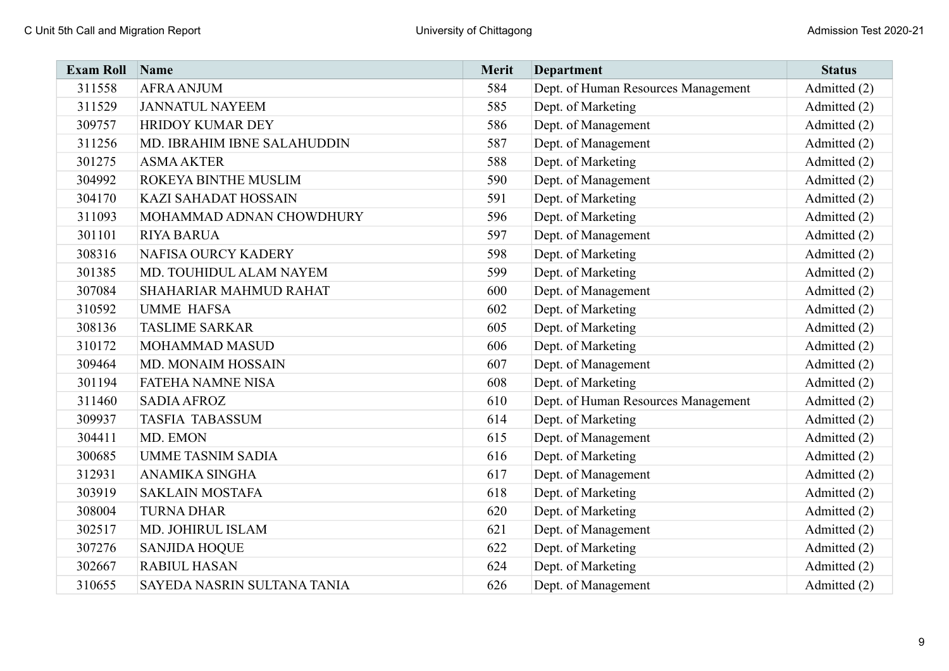| <b>Exam Roll</b> | Name                        | Merit | <b>Department</b>                   | <b>Status</b> |
|------------------|-----------------------------|-------|-------------------------------------|---------------|
| 311558           | <b>AFRA ANJUM</b>           | 584   | Dept. of Human Resources Management | Admitted (2)  |
| 311529           | <b>JANNATUL NAYEEM</b>      | 585   | Dept. of Marketing                  | Admitted (2)  |
| 309757           | HRIDOY KUMAR DEY            | 586   | Dept. of Management                 | Admitted (2)  |
| 311256           | MD. IBRAHIM IBNE SALAHUDDIN | 587   | Dept. of Management                 | Admitted (2)  |
| 301275           | <b>ASMA AKTER</b>           | 588   | Dept. of Marketing                  | Admitted (2)  |
| 304992           | ROKEYA BINTHE MUSLIM        | 590   | Dept. of Management                 | Admitted (2)  |
| 304170           | KAZI SAHADAT HOSSAIN        | 591   | Dept. of Marketing                  | Admitted (2)  |
| 311093           | MOHAMMAD ADNAN CHOWDHURY    | 596   | Dept. of Marketing                  | Admitted (2)  |
| 301101           | <b>RIYA BARUA</b>           | 597   | Dept. of Management                 | Admitted (2)  |
| 308316           | NAFISA OURCY KADERY         | 598   | Dept. of Marketing                  | Admitted (2)  |
| 301385           | MD. TOUHIDUL ALAM NAYEM     | 599   | Dept. of Marketing                  | Admitted (2)  |
| 307084           | SHAHARIAR MAHMUD RAHAT      | 600   | Dept. of Management                 | Admitted (2)  |
| 310592           | <b>UMME HAFSA</b>           | 602   | Dept. of Marketing                  | Admitted (2)  |
| 308136           | <b>TASLIME SARKAR</b>       | 605   | Dept. of Marketing                  | Admitted (2)  |
| 310172           | MOHAMMAD MASUD              | 606   | Dept. of Marketing                  | Admitted (2)  |
| 309464           | MD. MONAIM HOSSAIN          | 607   | Dept. of Management                 | Admitted (2)  |
| 301194           | <b>FATEHA NAMNE NISA</b>    | 608   | Dept. of Marketing                  | Admitted (2)  |
| 311460           | <b>SADIA AFROZ</b>          | 610   | Dept. of Human Resources Management | Admitted (2)  |
| 309937           | <b>TASFIA TABASSUM</b>      | 614   | Dept. of Marketing                  | Admitted (2)  |
| 304411           | MD. EMON                    | 615   | Dept. of Management                 | Admitted (2)  |
| 300685           | <b>UMME TASNIM SADIA</b>    | 616   | Dept. of Marketing                  | Admitted (2)  |
| 312931           | ANAMIKA SINGHA              | 617   | Dept. of Management                 | Admitted (2)  |
| 303919           | <b>SAKLAIN MOSTAFA</b>      | 618   | Dept. of Marketing                  | Admitted (2)  |
| 308004           | <b>TURNA DHAR</b>           | 620   | Dept. of Marketing                  | Admitted (2)  |
| 302517           | MD. JOHIRUL ISLAM           | 621   | Dept. of Management                 | Admitted (2)  |
| 307276           | <b>SANJIDA HOQUE</b>        | 622   | Dept. of Marketing                  | Admitted (2)  |
| 302667           | <b>RABIUL HASAN</b>         | 624   | Dept. of Marketing                  | Admitted (2)  |
| 310655           | SAYEDA NASRIN SULTANA TANIA | 626   | Dept. of Management                 | Admitted (2)  |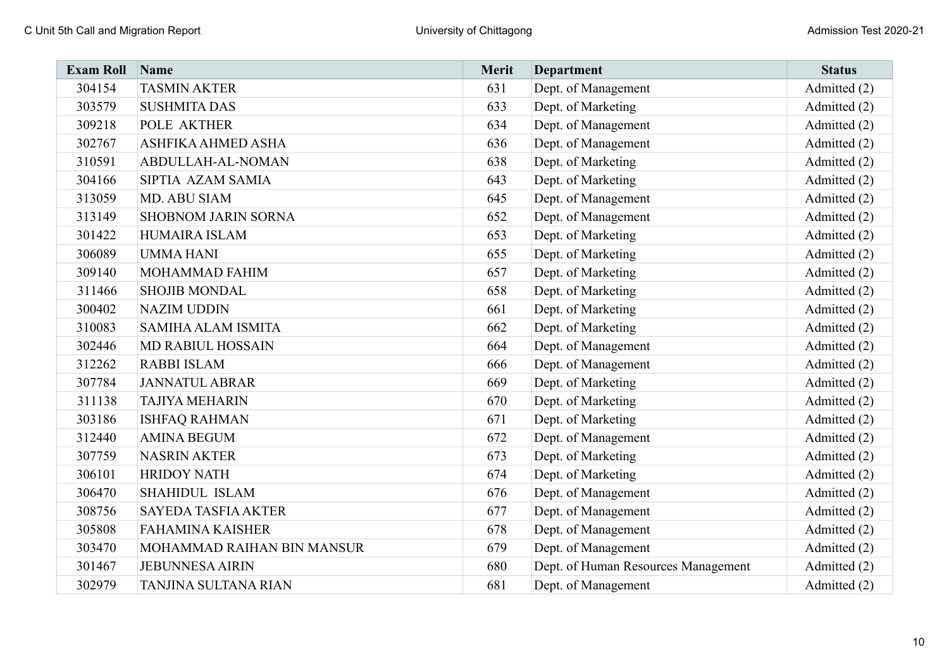| <b>Exam Roll</b> | <b>Name</b>                | Merit | <b>Department</b>                   | <b>Status</b> |
|------------------|----------------------------|-------|-------------------------------------|---------------|
| 304154           | <b>TASMIN AKTER</b>        | 631   | Dept. of Management                 | Admitted (2)  |
| 303579           | <b>SUSHMITA DAS</b>        | 633   | Dept. of Marketing                  | Admitted (2)  |
| 309218           | POLE AKTHER                | 634   | Dept. of Management                 | Admitted (2)  |
| 302767           | ASHFIKA AHMED ASHA         | 636   | Dept. of Management                 | Admitted (2)  |
| 310591           | ABDULLAH-AL-NOMAN          | 638   | Dept. of Marketing                  | Admitted (2)  |
| 304166           | SIPTIA AZAM SAMIA          | 643   | Dept. of Marketing                  | Admitted (2)  |
| 313059           | MD. ABU SIAM               | 645   | Dept. of Management                 | Admitted (2)  |
| 313149           | SHOBNOM JARIN SORNA        | 652   | Dept. of Management                 | Admitted (2)  |
| 301422           | HUMAIRA ISLAM              | 653   | Dept. of Marketing                  | Admitted (2)  |
| 306089           | <b>UMMA HANI</b>           | 655   | Dept. of Marketing                  | Admitted (2)  |
| 309140           | MOHAMMAD FAHIM             | 657   | Dept. of Marketing                  | Admitted (2)  |
| 311466           | <b>SHOJIB MONDAL</b>       | 658   | Dept. of Marketing                  | Admitted (2)  |
| 300402           | <b>NAZIM UDDIN</b>         | 661   | Dept. of Marketing                  | Admitted (2)  |
| 310083           | <b>SAMIHA ALAM ISMITA</b>  | 662   | Dept. of Marketing                  | Admitted (2)  |
| 302446           | <b>MD RABIUL HOSSAIN</b>   | 664   | Dept. of Management                 | Admitted (2)  |
| 312262           | <b>RABBI ISLAM</b>         | 666   | Dept. of Management                 | Admitted (2)  |
| 307784           | <b>JANNATUL ABRAR</b>      | 669   | Dept. of Marketing                  | Admitted (2)  |
| 311138           | <b>TAJIYA MEHARIN</b>      | 670   | Dept. of Marketing                  | Admitted (2)  |
| 303186           | <b>ISHFAQ RAHMAN</b>       | 671   | Dept. of Marketing                  | Admitted (2)  |
| 312440           | <b>AMINA BEGUM</b>         | 672   | Dept. of Management                 | Admitted (2)  |
| 307759           | <b>NASRIN AKTER</b>        | 673   | Dept. of Marketing                  | Admitted (2)  |
| 306101           | <b>HRIDOY NATH</b>         | 674   | Dept. of Marketing                  | Admitted (2)  |
| 306470           | SHAHIDUL ISLAM             | 676   | Dept. of Management                 | Admitted (2)  |
| 308756           | <b>SAYEDA TASFIA AKTER</b> | 677   | Dept. of Management                 | Admitted (2)  |
| 305808           | <b>FAHAMINA KAISHER</b>    | 678   | Dept. of Management                 | Admitted (2)  |
| 303470           | MOHAMMAD RAIHAN BIN MANSUR | 679   | Dept. of Management                 | Admitted (2)  |
| 301467           | <b>JEBUNNESA AIRIN</b>     | 680   | Dept. of Human Resources Management | Admitted (2)  |
| 302979           | TANJINA SULTANA RIAN       | 681   | Dept. of Management                 | Admitted (2)  |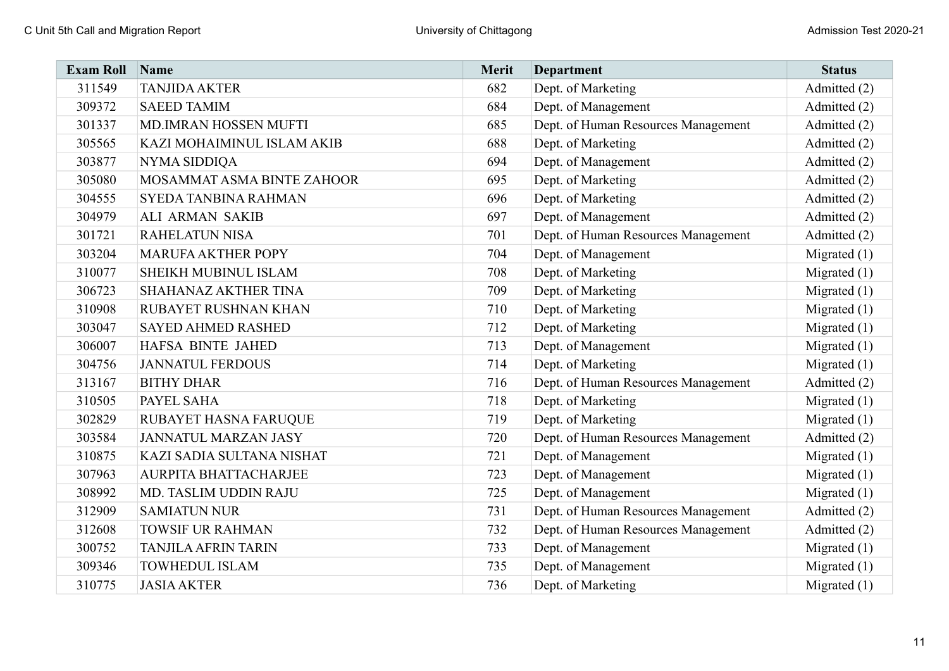| <b>Exam Roll</b> | Name                        | Merit | <b>Department</b>                   | <b>Status</b>  |
|------------------|-----------------------------|-------|-------------------------------------|----------------|
| 311549           | <b>TANJIDA AKTER</b>        | 682   | Dept. of Marketing                  | Admitted (2)   |
| 309372           | <b>SAEED TAMIM</b>          | 684   | Dept. of Management                 | Admitted (2)   |
| 301337           | MD.IMRAN HOSSEN MUFTI       | 685   | Dept. of Human Resources Management | Admitted (2)   |
| 305565           | KAZI MOHAIMINUL ISLAM AKIB  | 688   | Dept. of Marketing                  | Admitted (2)   |
| 303877           | NYMA SIDDIQA                | 694   | Dept. of Management                 | Admitted (2)   |
| 305080           | MOSAMMAT ASMA BINTE ZAHOOR  | 695   | Dept. of Marketing                  | Admitted (2)   |
| 304555           | SYEDA TANBINA RAHMAN        | 696   | Dept. of Marketing                  | Admitted (2)   |
| 304979           | <b>ALI ARMAN SAKIB</b>      | 697   | Dept. of Management                 | Admitted (2)   |
| 301721           | <b>RAHELATUN NISA</b>       | 701   | Dept. of Human Resources Management | Admitted (2)   |
| 303204           | <b>MARUFA AKTHER POPY</b>   | 704   | Dept. of Management                 | Migrated $(1)$ |
| 310077           | SHEIKH MUBINUL ISLAM        | 708   | Dept. of Marketing                  | Migrated $(1)$ |
| 306723           | <b>SHAHANAZ AKTHER TINA</b> | 709   | Dept. of Marketing                  | Migrated $(1)$ |
| 310908           | RUBAYET RUSHNAN KHAN        | 710   | Dept. of Marketing                  | Migrated $(1)$ |
| 303047           | <b>SAYED AHMED RASHED</b>   | 712   | Dept. of Marketing                  | Migrated $(1)$ |
| 306007           | HAFSA BINTE JAHED           | 713   | Dept. of Management                 | Migrated $(1)$ |
| 304756           | <b>JANNATUL FERDOUS</b>     | 714   | Dept. of Marketing                  | Migrated $(1)$ |
| 313167           | <b>BITHY DHAR</b>           | 716   | Dept. of Human Resources Management | Admitted (2)   |
| 310505           | PAYEL SAHA                  | 718   | Dept. of Marketing                  | Migrated $(1)$ |
| 302829           | RUBAYET HASNA FARUQUE       | 719   | Dept. of Marketing                  | Migrated $(1)$ |
| 303584           | <b>JANNATUL MARZAN JASY</b> | 720   | Dept. of Human Resources Management | Admitted (2)   |
| 310875           | KAZI SADIA SULTANA NISHAT   | 721   | Dept. of Management                 | Migrated $(1)$ |
| 307963           | AURPITA BHATTACHARJEE       | 723   | Dept. of Management                 | Migrated $(1)$ |
| 308992           | MD. TASLIM UDDIN RAJU       | 725   | Dept. of Management                 | Migrated $(1)$ |
| 312909           | <b>SAMIATUN NUR</b>         | 731   | Dept. of Human Resources Management | Admitted (2)   |
| 312608           | <b>TOWSIF UR RAHMAN</b>     | 732   | Dept. of Human Resources Management | Admitted (2)   |
| 300752           | <b>TANJILA AFRIN TARIN</b>  | 733   | Dept. of Management                 | Migrated $(1)$ |
| 309346           | <b>TOWHEDUL ISLAM</b>       | 735   | Dept. of Management                 | Migrated $(1)$ |
| 310775           | <b>JASIA AKTER</b>          | 736   | Dept. of Marketing                  | Migrated $(1)$ |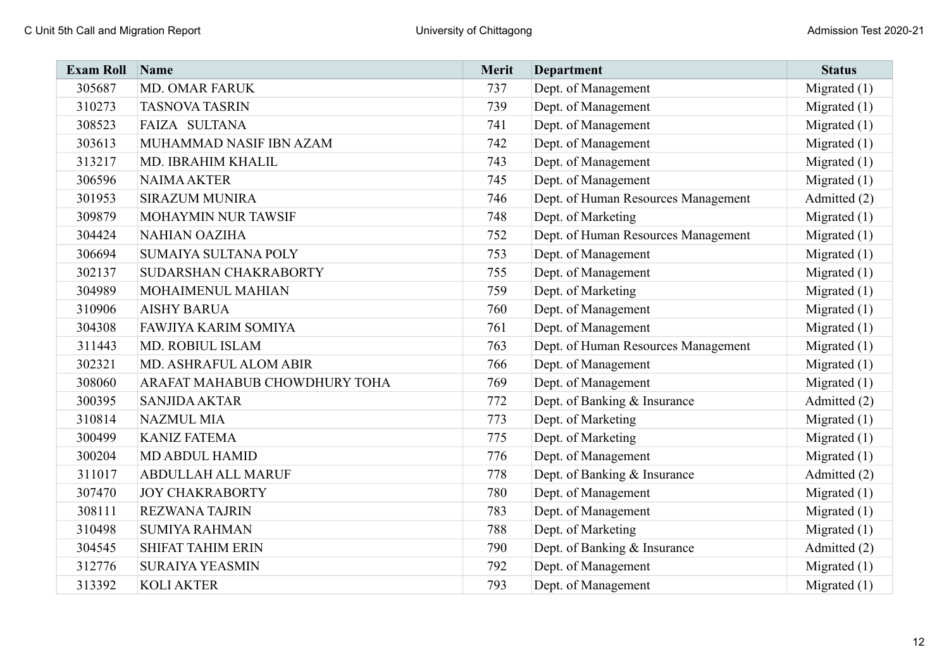| <b>Exam Roll</b> | Name                          | Merit | <b>Department</b>                   | <b>Status</b>  |
|------------------|-------------------------------|-------|-------------------------------------|----------------|
| 305687           | <b>MD. OMAR FARUK</b>         | 737   | Dept. of Management                 | Migrated $(1)$ |
| 310273           | <b>TASNOVA TASRIN</b>         | 739   | Dept. of Management                 | Migrated $(1)$ |
| 308523           | FAIZA SULTANA                 | 741   | Dept. of Management                 | Migrated $(1)$ |
| 303613           | MUHAMMAD NASIF IBN AZAM       | 742   | Dept. of Management                 | Migrated $(1)$ |
| 313217           | MD. IBRAHIM KHALIL            | 743   | Dept. of Management                 | Migrated $(1)$ |
| 306596           | <b>NAIMA AKTER</b>            | 745   | Dept. of Management                 | Migrated $(1)$ |
| 301953           | <b>SIRAZUM MUNIRA</b>         | 746   | Dept. of Human Resources Management | Admitted (2)   |
| 309879           | MOHAYMIN NUR TAWSIF           | 748   | Dept. of Marketing                  | Migrated $(1)$ |
| 304424           | <b>NAHIAN OAZIHA</b>          | 752   | Dept. of Human Resources Management | Migrated $(1)$ |
| 306694           | SUMAIYA SULTANA POLY          | 753   | Dept. of Management                 | Migrated $(1)$ |
| 302137           | SUDARSHAN CHAKRABORTY         | 755   | Dept. of Management                 | Migrated $(1)$ |
| 304989           | MOHAIMENUL MAHIAN             | 759   | Dept. of Marketing                  | Migrated $(1)$ |
| 310906           | <b>AISHY BARUA</b>            | 760   | Dept. of Management                 | Migrated $(1)$ |
| 304308           | <b>FAWJIYA KARIM SOMIYA</b>   | 761   | Dept. of Management                 | Migrated $(1)$ |
| 311443           | MD. ROBIUL ISLAM              | 763   | Dept. of Human Resources Management | Migrated $(1)$ |
| 302321           | MD. ASHRAFUL ALOM ABIR        | 766   | Dept. of Management                 | Migrated $(1)$ |
| 308060           | ARAFAT MAHABUB CHOWDHURY TOHA | 769   | Dept. of Management                 | Migrated $(1)$ |
| 300395           | <b>SANJIDA AKTAR</b>          | 772   | Dept. of Banking & Insurance        | Admitted (2)   |
| 310814           | <b>NAZMUL MIA</b>             | 773   | Dept. of Marketing                  | Migrated $(1)$ |
| 300499           | <b>KANIZ FATEMA</b>           | 775   | Dept. of Marketing                  | Migrated $(1)$ |
| 300204           | <b>MD ABDUL HAMID</b>         | 776   | Dept. of Management                 | Migrated $(1)$ |
| 311017           | <b>ABDULLAH ALL MARUF</b>     | 778   | Dept. of Banking & Insurance        | Admitted (2)   |
| 307470           | <b>JOY CHAKRABORTY</b>        | 780   | Dept. of Management                 | Migrated $(1)$ |
| 308111           | <b>REZWANA TAJRIN</b>         | 783   | Dept. of Management                 | Migrated (1)   |
| 310498           | <b>SUMIYA RAHMAN</b>          | 788   | Dept. of Marketing                  | Migrated $(1)$ |
| 304545           | <b>SHIFAT TAHIM ERIN</b>      | 790   | Dept. of Banking & Insurance        | Admitted (2)   |
| 312776           | <b>SURAIYA YEASMIN</b>        | 792   | Dept. of Management                 | Migrated $(1)$ |
| 313392           | <b>KOLI AKTER</b>             | 793   | Dept. of Management                 | Migrated $(1)$ |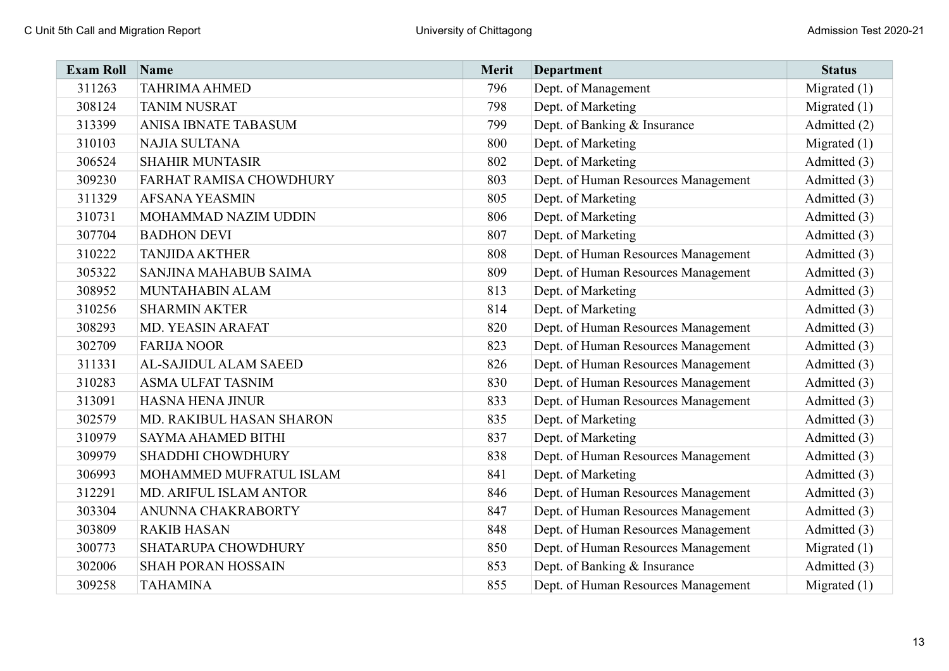| <b>Exam Roll</b> | Name                       | Merit | <b>Department</b>                   | <b>Status</b>  |
|------------------|----------------------------|-------|-------------------------------------|----------------|
| 311263           | <b>TAHRIMA AHMED</b>       | 796   | Dept. of Management                 | Migrated $(1)$ |
| 308124           | <b>TANIM NUSRAT</b>        | 798   | Dept. of Marketing                  | Migrated $(1)$ |
| 313399           | ANISA IBNATE TABASUM       | 799   | Dept. of Banking & Insurance        | Admitted (2)   |
| 310103           | NAJIA SULTANA              | 800   | Dept. of Marketing                  | Migrated $(1)$ |
| 306524           | <b>SHAHIR MUNTASIR</b>     | 802   | Dept. of Marketing                  | Admitted (3)   |
| 309230           | FARHAT RAMISA CHOWDHURY    | 803   | Dept. of Human Resources Management | Admitted (3)   |
| 311329           | <b>AFSANA YEASMIN</b>      | 805   | Dept. of Marketing                  | Admitted (3)   |
| 310731           | MOHAMMAD NAZIM UDDIN       | 806   | Dept. of Marketing                  | Admitted (3)   |
| 307704           | <b>BADHON DEVI</b>         | 807   | Dept. of Marketing                  | Admitted (3)   |
| 310222           | <b>TANJIDA AKTHER</b>      | 808   | Dept. of Human Resources Management | Admitted (3)   |
| 305322           | SANJINA MAHABUB SAIMA      | 809   | Dept. of Human Resources Management | Admitted (3)   |
| 308952           | MUNTAHABIN ALAM            | 813   | Dept. of Marketing                  | Admitted (3)   |
| 310256           | <b>SHARMIN AKTER</b>       | 814   | Dept. of Marketing                  | Admitted (3)   |
| 308293           | MD. YEASIN ARAFAT          | 820   | Dept. of Human Resources Management | Admitted (3)   |
| 302709           | <b>FARIJA NOOR</b>         | 823   | Dept. of Human Resources Management | Admitted (3)   |
| 311331           | AL-SAJIDUL ALAM SAEED      | 826   | Dept. of Human Resources Management | Admitted (3)   |
| 310283           | <b>ASMA ULFAT TASNIM</b>   | 830   | Dept. of Human Resources Management | Admitted (3)   |
| 313091           | <b>HASNA HENA JINUR</b>    | 833   | Dept. of Human Resources Management | Admitted (3)   |
| 302579           | MD. RAKIBUL HASAN SHARON   | 835   | Dept. of Marketing                  | Admitted (3)   |
| 310979           | <b>SAYMA AHAMED BITHI</b>  | 837   | Dept. of Marketing                  | Admitted (3)   |
| 309979           | SHADDHI CHOWDHURY          | 838   | Dept. of Human Resources Management | Admitted (3)   |
| 306993           | MOHAMMED MUFRATUL ISLAM    | 841   | Dept. of Marketing                  | Admitted (3)   |
| 312291           | MD. ARIFUL ISLAM ANTOR     | 846   | Dept. of Human Resources Management | Admitted (3)   |
| 303304           | ANUNNA CHAKRABORTY         | 847   | Dept. of Human Resources Management | Admitted (3)   |
| 303809           | <b>RAKIB HASAN</b>         | 848   | Dept. of Human Resources Management | Admitted (3)   |
| 300773           | <b>SHATARUPA CHOWDHURY</b> | 850   | Dept. of Human Resources Management | Migrated $(1)$ |
| 302006           | <b>SHAH PORAN HOSSAIN</b>  | 853   | Dept. of Banking & Insurance        | Admitted (3)   |
| 309258           | <b>TAHAMINA</b>            | 855   | Dept. of Human Resources Management | Migrated $(1)$ |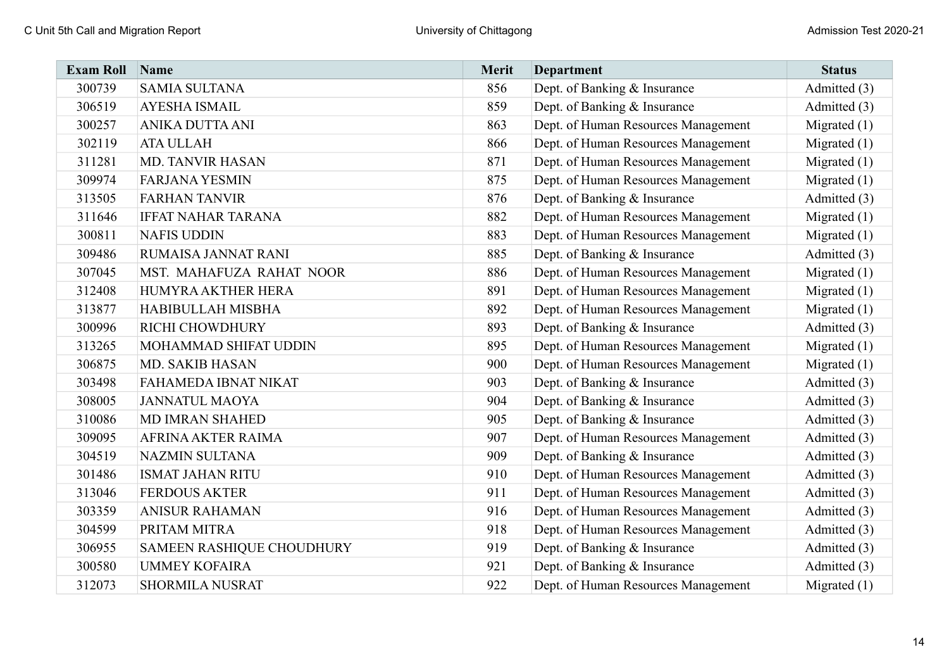| <b>Exam Roll</b> | Name                      | Merit | <b>Department</b>                   | <b>Status</b>  |
|------------------|---------------------------|-------|-------------------------------------|----------------|
| 300739           | <b>SAMIA SULTANA</b>      | 856   | Dept. of Banking & Insurance        | Admitted (3)   |
| 306519           | <b>AYESHA ISMAIL</b>      | 859   | Dept. of Banking & Insurance        | Admitted (3)   |
| 300257           | ANIKA DUTTA ANI           | 863   | Dept. of Human Resources Management | Migrated $(1)$ |
| 302119           | <b>ATA ULLAH</b>          | 866   | Dept. of Human Resources Management | Migrated $(1)$ |
| 311281           | <b>MD. TANVIR HASAN</b>   | 871   | Dept. of Human Resources Management | Migrated $(1)$ |
| 309974           | <b>FARJANA YESMIN</b>     | 875   | Dept. of Human Resources Management | Migrated $(1)$ |
| 313505           | <b>FARHAN TANVIR</b>      | 876   | Dept. of Banking & Insurance        | Admitted (3)   |
| 311646           | <b>IFFAT NAHAR TARANA</b> | 882   | Dept. of Human Resources Management | Migrated $(1)$ |
| 300811           | <b>NAFIS UDDIN</b>        | 883   | Dept. of Human Resources Management | Migrated $(1)$ |
| 309486           | RUMAISA JANNAT RANI       | 885   | Dept. of Banking & Insurance        | Admitted (3)   |
| 307045           | MST. MAHAFUZA RAHAT NOOR  | 886   | Dept. of Human Resources Management | Migrated $(1)$ |
| 312408           | HUMYRA AKTHER HERA        | 891   | Dept. of Human Resources Management | Migrated $(1)$ |
| 313877           | HABIBULLAH MISBHA         | 892   | Dept. of Human Resources Management | Migrated $(1)$ |
| 300996           | RICHI CHOWDHURY           | 893   | Dept. of Banking & Insurance        | Admitted (3)   |
| 313265           | MOHAMMAD SHIFAT UDDIN     | 895   | Dept. of Human Resources Management | Migrated $(1)$ |
| 306875           | MD. SAKIB HASAN           | 900   | Dept. of Human Resources Management | Migrated $(1)$ |
| 303498           | FAHAMEDA IBNAT NIKAT      | 903   | Dept. of Banking & Insurance        | Admitted (3)   |
| 308005           | <b>JANNATUL MAOYA</b>     | 904   | Dept. of Banking & Insurance        | Admitted (3)   |
| 310086           | <b>MD IMRAN SHAHED</b>    | 905   | Dept. of Banking & Insurance        | Admitted (3)   |
| 309095           | AFRINA AKTER RAIMA        | 907   | Dept. of Human Resources Management | Admitted (3)   |
| 304519           | <b>NAZMIN SULTANA</b>     | 909   | Dept. of Banking & Insurance        | Admitted (3)   |
| 301486           | <b>ISMAT JAHAN RITU</b>   | 910   | Dept. of Human Resources Management | Admitted (3)   |
| 313046           | <b>FERDOUS AKTER</b>      | 911   | Dept. of Human Resources Management | Admitted (3)   |
| 303359           | <b>ANISUR RAHAMAN</b>     | 916   | Dept. of Human Resources Management | Admitted (3)   |
| 304599           | PRITAM MITRA              | 918   | Dept. of Human Resources Management | Admitted (3)   |
| 306955           | SAMEEN RASHIQUE CHOUDHURY | 919   | Dept. of Banking & Insurance        | Admitted (3)   |
| 300580           | <b>UMMEY KOFAIRA</b>      | 921   | Dept. of Banking & Insurance        | Admitted (3)   |
| 312073           | <b>SHORMILA NUSRAT</b>    | 922   | Dept. of Human Resources Management | Migrated $(1)$ |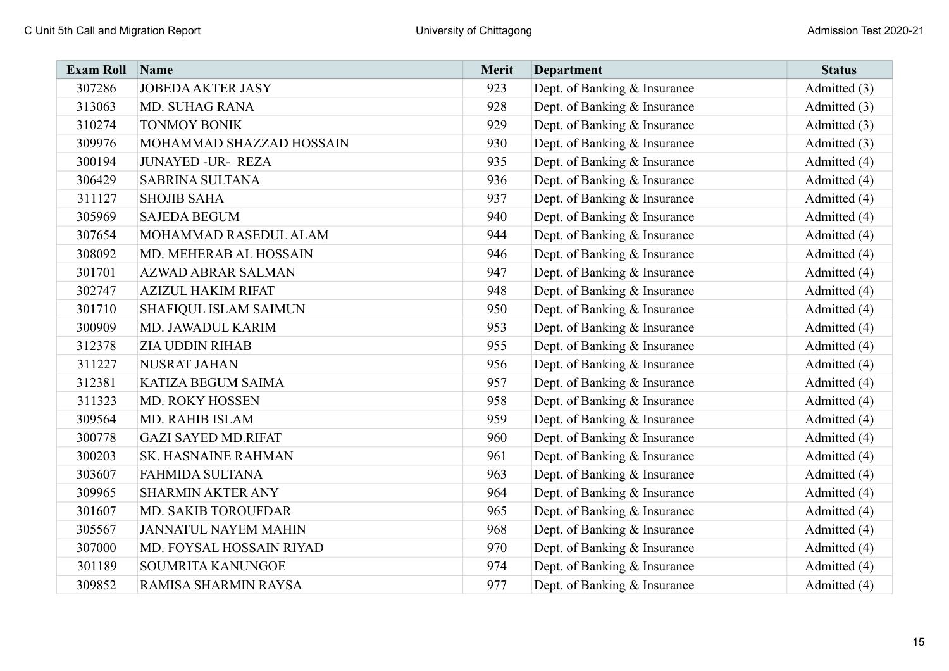| <b>Exam Roll</b> | Name                         | Merit | <b>Department</b>            | <b>Status</b> |
|------------------|------------------------------|-------|------------------------------|---------------|
| 307286           | <b>JOBEDA AKTER JASY</b>     | 923   | Dept. of Banking & Insurance | Admitted (3)  |
| 313063           | <b>MD. SUHAG RANA</b>        | 928   | Dept. of Banking & Insurance | Admitted (3)  |
| 310274           | <b>TONMOY BONIK</b>          | 929   | Dept. of Banking & Insurance | Admitted (3)  |
| 309976           | MOHAMMAD SHAZZAD HOSSAIN     | 930   | Dept. of Banking & Insurance | Admitted (3)  |
| 300194           | <b>JUNAYED -UR- REZA</b>     | 935   | Dept. of Banking & Insurance | Admitted (4)  |
| 306429           | <b>SABRINA SULTANA</b>       | 936   | Dept. of Banking & Insurance | Admitted (4)  |
| 311127           | <b>SHOJIB SAHA</b>           | 937   | Dept. of Banking & Insurance | Admitted (4)  |
| 305969           | <b>SAJEDA BEGUM</b>          | 940   | Dept. of Banking & Insurance | Admitted (4)  |
| 307654           | MOHAMMAD RASEDUL ALAM        | 944   | Dept. of Banking & Insurance | Admitted (4)  |
| 308092           | MD. MEHERAB AL HOSSAIN       | 946   | Dept. of Banking & Insurance | Admitted (4)  |
| 301701           | <b>AZWAD ABRAR SALMAN</b>    | 947   | Dept. of Banking & Insurance | Admitted (4)  |
| 302747           | <b>AZIZUL HAKIM RIFAT</b>    | 948   | Dept. of Banking & Insurance | Admitted (4)  |
| 301710           | <b>SHAFIQUL ISLAM SAIMUN</b> | 950   | Dept. of Banking & Insurance | Admitted (4)  |
| 300909           | MD. JAWADUL KARIM            | 953   | Dept. of Banking & Insurance | Admitted (4)  |
| 312378           | <b>ZIA UDDIN RIHAB</b>       | 955   | Dept. of Banking & Insurance | Admitted (4)  |
| 311227           | <b>NUSRAT JAHAN</b>          | 956   | Dept. of Banking & Insurance | Admitted (4)  |
| 312381           | KATIZA BEGUM SAIMA           | 957   | Dept. of Banking & Insurance | Admitted (4)  |
| 311323           | MD. ROKY HOSSEN              | 958   | Dept. of Banking & Insurance | Admitted (4)  |
| 309564           | MD. RAHIB ISLAM              | 959   | Dept. of Banking & Insurance | Admitted (4)  |
| 300778           | <b>GAZI SAYED MD.RIFAT</b>   | 960   | Dept. of Banking & Insurance | Admitted (4)  |
| 300203           | SK. HASNAINE RAHMAN          | 961   | Dept. of Banking & Insurance | Admitted (4)  |
| 303607           | <b>FAHMIDA SULTANA</b>       | 963   | Dept. of Banking & Insurance | Admitted (4)  |
| 309965           | <b>SHARMIN AKTER ANY</b>     | 964   | Dept. of Banking & Insurance | Admitted (4)  |
| 301607           | MD. SAKIB TOROUFDAR          | 965   | Dept. of Banking & Insurance | Admitted (4)  |
| 305567           | <b>JANNATUL NAYEM MAHIN</b>  | 968   | Dept. of Banking & Insurance | Admitted (4)  |
| 307000           | MD. FOYSAL HOSSAIN RIYAD     | 970   | Dept. of Banking & Insurance | Admitted (4)  |
| 301189           | SOUMRITA KANUNGOE            | 974   | Dept. of Banking & Insurance | Admitted (4)  |
| 309852           | RAMISA SHARMIN RAYSA         | 977   | Dept. of Banking & Insurance | Admitted (4)  |